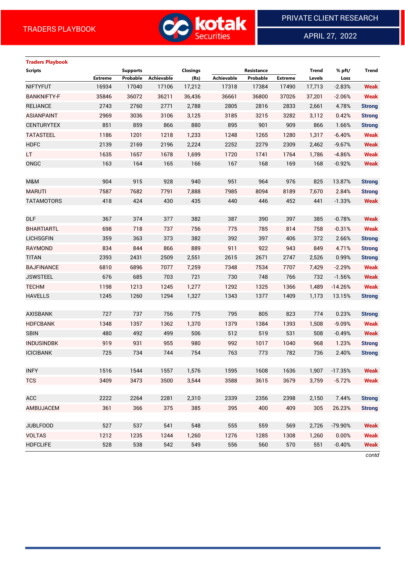**Traders Playbook**



APRIL 27, 2022

 $\overline{a}$ 

# **Scripts Supports Closings Resistance Trend % pft/ Trend Extreme Probable Achievable (Rs) Achievable Probable Extreme Levels Loss** NIFTYFUT 16934 17040 17106 17,212 17318 17384 17490 17,713 -2.83% **Weak** BANKNIFTY-F 35846 36072 36211 36,436 36661 36800 37026 37,201 -2.06% **Weak** RELIANCE 2743 2760 2771 2,788 2805 2816 2833 2,661 4.78% **Strong** ASIANPAINT 2969 3036 3106 3,125 3185 3215 3282 3,112 0.42% **Strong** CENTURYTEX 851 859 866 880 895 901 909 866 1.66% **Strong**

| TATASTEEL         | 1186 | 1201 | 1218 | 1,233 | 1248 | 1265 | 1280 | 1,317 | $-6.40%$  | <b>Weak</b>   |
|-------------------|------|------|------|-------|------|------|------|-------|-----------|---------------|
| <b>HDFC</b>       | 2139 | 2169 | 2196 | 2,224 | 2252 | 2279 | 2309 | 2,462 | $-9.67%$  | <b>Weak</b>   |
| LT.               | 1635 | 1657 | 1678 | 1,699 | 1720 | 1741 | 1764 | 1,786 | $-4.86%$  | <b>Weak</b>   |
| ONGC              | 163  | 164  | 165  | 166   | 167  | 168  | 169  | 168   | $-0.92%$  | <b>Weak</b>   |
|                   |      |      |      |       |      |      |      |       |           |               |
| <b>M&amp;M</b>    | 904  | 915  | 928  | 940   | 951  | 964  | 976  | 825   | 13.87%    | <b>Strong</b> |
| <b>MARUTI</b>     | 7587 | 7682 | 7791 | 7,888 | 7985 | 8094 | 8189 | 7,670 | 2.84%     | <b>Strong</b> |
| TATAMOTORS        | 418  | 424  | 430  | 435   | 440  | 446  | 452  | 441   | $-1.33%$  | <b>Weak</b>   |
|                   |      |      |      |       |      |      |      |       |           |               |
| <b>DLF</b>        | 367  | 374  | 377  | 382   | 387  | 390  | 397  | 385   | $-0.78%$  | <b>Weak</b>   |
| <b>BHARTIARTL</b> | 698  | 718  | 737  | 756   | 775  | 785  | 814  | 758   | $-0.31%$  | <b>Weak</b>   |
| LICHSGFIN         | 359  | 363  | 373  | 382   | 392  | 397  | 406  | 372   | 2.66%     | <b>Strong</b> |
| RAYMOND           | 834  | 844  | 866  | 889   | 911  | 922  | 943  | 849   | 4.71%     | <b>Strong</b> |
| TITAN             | 2393 | 2431 | 2509 | 2,551 | 2615 | 2671 | 2747 | 2,526 | 0.99%     | <b>Strong</b> |
| <b>BAJFINANCE</b> | 6810 | 6896 | 7077 | 7,259 | 7348 | 7534 | 7707 | 7,429 | $-2.29%$  | <b>Weak</b>   |
| <b>JSWSTEEL</b>   | 676  | 685  | 703  | 721   | 730  | 748  | 766  | 732   | $-1.56%$  | <b>Weak</b>   |
| <b>TECHM</b>      | 1198 | 1213 | 1245 | 1,277 | 1292 | 1325 | 1366 | 1,489 | $-14.26%$ | <b>Weak</b>   |
| <b>HAVELLS</b>    | 1245 | 1260 | 1294 | 1,327 | 1343 | 1377 | 1409 | 1,173 | 13.15%    | <b>Strong</b> |
|                   |      |      |      |       |      |      |      |       |           |               |
| AXISBANK          | 727  | 737  | 756  | 775   | 795  | 805  | 823  | 774   | 0.23%     | <b>Strong</b> |
| <b>HDFCBANK</b>   | 1348 | 1357 | 1362 | 1,370 | 1379 | 1384 | 1393 | 1,508 | $-9.09%$  | Weak          |
| <b>SBIN</b>       | 480  | 492  | 499  | 506   | 512  | 519  | 531  | 508   | $-0.49%$  | <b>Weak</b>   |
| <b>INDUSINDBK</b> | 919  | 931  | 955  | 980   | 992  | 1017 | 1040 | 968   | 1.23%     | <b>Strong</b> |
| <b>ICICIBANK</b>  | 725  | 734  | 744  | 754   | 763  | 773  | 782  | 736   | 2.40%     | <b>Strong</b> |
|                   |      |      |      |       |      |      |      |       |           |               |
| <b>INFY</b>       | 1516 | 1544 | 1557 | 1,576 | 1595 | 1608 | 1636 | 1,907 | $-17.35%$ | <b>Weak</b>   |
| TCS               | 3409 | 3473 | 3500 | 3,544 | 3588 | 3615 | 3679 | 3,759 | $-5.72%$  | <b>Weak</b>   |
|                   |      |      |      |       |      |      |      |       |           |               |
| ACC               | 2222 | 2264 | 2281 | 2,310 | 2339 | 2356 | 2398 | 2,150 | 7.44%     | <b>Strong</b> |
| AMBUJACEM         | 361  | 366  | 375  | 385   | 395  | 400  | 409  | 305   | 26.23%    | <b>Strong</b> |
|                   |      |      |      |       |      |      |      |       |           |               |
| <b>JUBLFOOD</b>   | 527  | 537  | 541  | 548   | 555  | 559  | 569  | 2,726 | -79.90%   | <b>Weak</b>   |
| <b>VOLTAS</b>     | 1212 | 1235 | 1244 | 1,260 | 1276 | 1285 | 1308 | 1,260 | 0.00%     | <b>Weak</b>   |
| <b>HDFCLIFE</b>   | 528  | 538  | 542  | 549   | 556  | 560  | 570  | 551   | $-0.40%$  | Weak          |
|                   |      |      |      |       |      |      |      |       |           | contd         |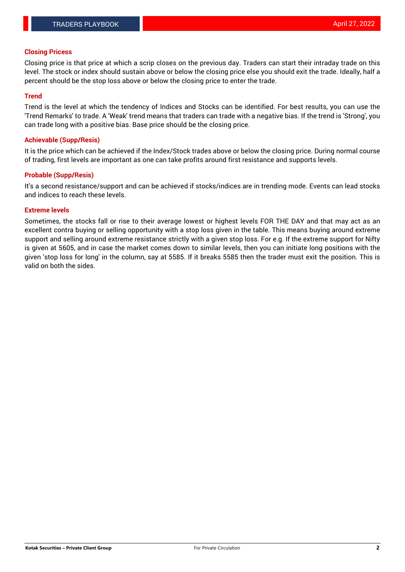#### **Closing Pricess**

Closing price is that price at which a scrip closes on the previous day. Traders can start their intraday trade on this level. The stock or index should sustain above or below the closing price else you should exit the trade. Ideally, half a percent should be the stop loss above or below the closing price to enter the trade.

### **Trend**

Trend is the level at which the tendency of Indices and Stocks can be identified. For best results, you can use the 'Trend Remarks' to trade. A 'Weak' trend means that traders can trade with a negative bias. If the trend is 'Strong', you can trade long with a positive bias. Base price should be the closing price.

#### **Achievable (Supp/Resis)**

It is the price which can be achieved if the Index/Stock trades above or below the closing price. During normal course of trading, first levels are important as one can take profits around first resistance and supports levels.

### **Probable (Supp/Resis)**

It's a second resistance/support and can be achieved if stocks/indices are in trending mode. Events can lead stocks and indices to reach these levels.

#### **Extreme levels**

Sometimes, the stocks fall or rise to their average lowest or highest levels FOR THE DAY and that may act as an excellent contra buying or selling opportunity with a stop loss given in the table. This means buying around extreme support and selling around extreme resistance strictly with a given stop loss. For e.g. If the extreme support for Nifty is given at 5605, and in case the market comes down to similar levels, then you can initiate long positions with the given 'stop loss for long' in the column, say at 5585. If it breaks 5585 then the trader must exit the position. This is valid on both the sides.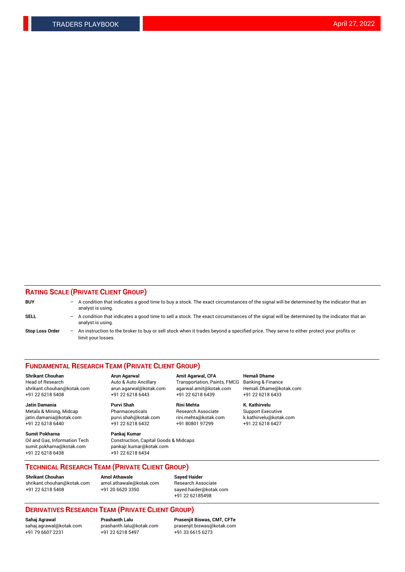### **RATING SCALE (PRIVATE CLIENT GROUP)**

| <b>BUY</b>             | -                 | A condition that indicates a good time to buy a stock. The exact circumstances of the signal will be determined by the indicator that an<br>analyst is using.  |
|------------------------|-------------------|----------------------------------------------------------------------------------------------------------------------------------------------------------------|
| SELL                   | -                 | A condition that indicates a good time to sell a stock. The exact circumstances of the signal will be determined by the indicator that an<br>analyst is using. |
| <b>Stop Loss Order</b> | $\qquad \qquad -$ | An instruction to the broker to buy or sell stock when it trades beyond a specified price. They serve to either protect your profits or<br>limit your losses.  |

#### **FUNDAMENTAL RESEARCH TEAM (PRIVATE CLIENT GROUP)**

**Shrikant Chouhan Arun Agarwal Amit Agarwal, CFA Hemali Dhame** Head of Research Auto & Auto Ancillary Transportation, Paints, FMCG Banking & Finance shrikant.chouhan@kotak.com arun.agarwal@kotak.com agarwal.amit@kotak.com Hemali.Dhame@kotak.com

**Jatin Damania Purvi Shah Rini Mehta K. Kathirvelu** Metals & Mining, Midcap **Pharmaceuticals** Research Associate Support Executive jatin.damania@kotak.com [purvi.shah@kotak.com](mailto:purvi.shah@kotak.com) rini.mehta@kotak.com [k.kathirvelu@kotak.com](mailto:k.kathirvelu@kotak.com)  $+91$  22 6218 6440  $+91$  22 6218 6432

**Sumit Pokharna Pankaj Kumar** sumit.pokharna@kotak.com pankajr.kumar@kotak.com +91 22 6218 6438 +91 22 6218 6434

Oil and Gas, Information Tech Construction, Capital Goods & Midcaps

+91 22 6218 5408 +91 22 6218 6443 +91 22 6218 6439 +91 22 6218 6433

**TECHNICAL RESEARCH TEAM (PRIVATE CLIENT GROUP)**

[shrikant.chouhan@kotak.com](mailto:shrikant.chouhan@kotak.com) [amol.athawale@kotak.com](mailto:amol.athawale@kotak.com) Research Associate +91 22 6218 5408 +91 20 6620 3350 [sayed.haider@kotak.com](mailto:sayed.haider@kotak.com)

**Shrikant Chouhan Amol Athawale Sayed Haider**

+91 22 62185498

# **DERIVATIVES RESEARCH TEAM (PRIVATE CLIENT GROUP)**

 $+91$  22 6218 5497

**Sahaj Agrawal Prashanth Lalu Prasenjit Biswas, CMT, CFTe** [sahaj.agrawal@kotak.com](mailto:sahaj.agrawal@kotak.com) [prashanth.lalu@kotak.com](mailto:prashanth.lalu@kotak.com) [prasenjit.biswas@kotak.com](mailto:prasenjit.biswas@kotak.com)